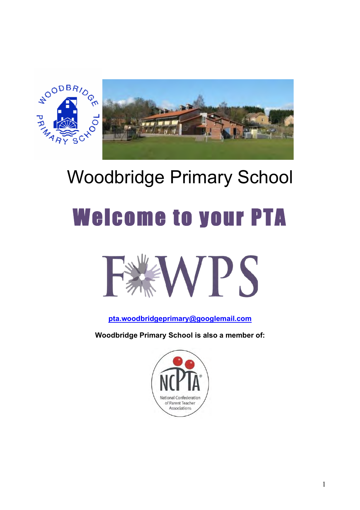

# Woodbridge Primary School

# Welcome to your PTA



**pta.woodbridgeprimary@googlemail.com**

**Woodbridge Primary School is also a member of:**

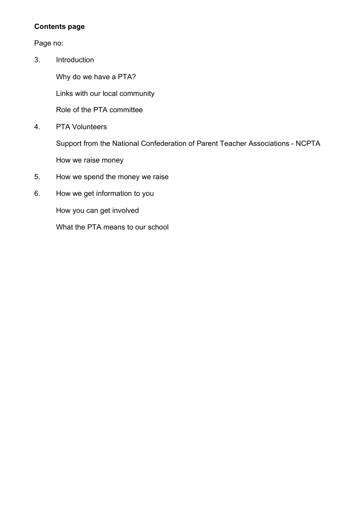# **Contents page**

# Page no:

3. Introduction

Why do we have a PTA?

Links with our local community

Role of the PTA committee

4. PTA Volunteers

Support from the National Confederation of Parent Teacher Associations - NCPTA How we raise money

- 5. How we spend the money we raise
- 6. How we get information to you

How you can get involved

What the PTA means to our school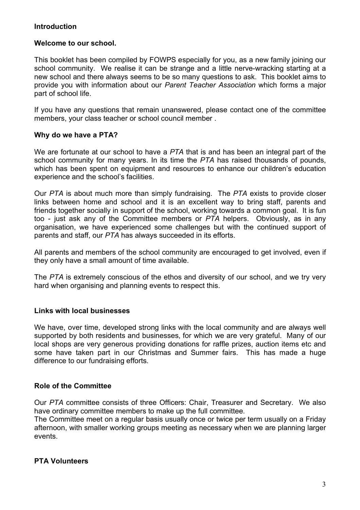# **Introduction**

### **Welcome to our school.**

This booklet has been compiled by FOWPS especially for you, as a new family joining our school community. We realise it can be strange and a little nerve-wracking starting at a new school and there always seems to be so many questions to ask. This booklet aims to provide you with information about our *Parent Teacher Association* which forms a major part of school life.

If you have any questions that remain unanswered, please contact one of the committee members, your class teacher or school council member .

### **Why do we have a PTA?**

We are fortunate at our school to have a *PTA* that is and has been an integral part of the school community for many years. In its time the *PTA* has raised thousands of pounds, which has been spent on equipment and resources to enhance our children's education experience and the school's facilities.

Our *PTA* is about much more than simply fundraising. The *PTA* exists to provide closer links between home and school and it is an excellent way to bring staff, parents and friends together socially in support of the school, working towards a common goal. It is fun too - just ask any of the Committee members or *PTA* helpers. Obviously, as in any organisation, we have experienced some challenges but with the continued support of parents and staff, our *PTA* has always succeeded in its efforts.

All parents and members of the school community are encouraged to get involved, even if they only have a small amount of time available.

The *PTA* is extremely conscious of the ethos and diversity of our school, and we try very hard when organising and planning events to respect this.

### **Links with local businesses**

We have, over time, developed strong links with the local community and are always well supported by both residents and businesses, for which we are very grateful. Many of our local shops are very generous providing donations for raffle prizes, auction items etc and some have taken part in our Christmas and Summer fairs. This has made a huge difference to our fundraising efforts.

### **Role of the Committee**

Our *PTA* committee consists of three Officers: Chair, Treasurer and Secretary. We also have ordinary committee members to make up the full committee.

The Committee meet on a regular basis usually once or twice per term usually on a Friday afternoon, with smaller working groups meeting as necessary when we are planning larger events.

# **PTA Volunteers**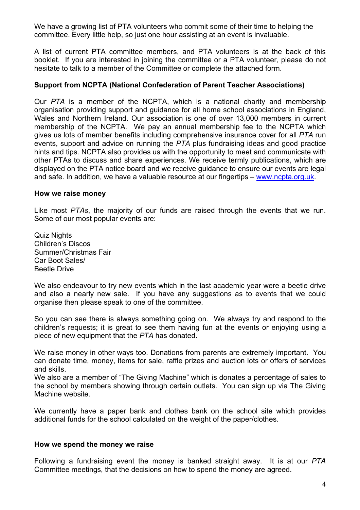We have a growing list of PTA volunteers who commit some of their time to helping the committee. Every little help, so just one hour assisting at an event is invaluable.

A list of current PTA committee members, and PTA volunteers is at the back of this booklet. If you are interested in joining the committee or a PTA volunteer, please do not hesitate to talk to a member of the Committee or complete the attached form.

## **Support from NCPTA (National Confederation of Parent Teacher Associations)**

Our *PTA* is a member of the NCPTA, which is a national charity and membership organisation providing support and guidance for all home school associations in England, Wales and Northern Ireland. Our association is one of over 13,000 members in current membership of the NCPTA. We pay an annual membership fee to the NCPTA which gives us lots of member benefits including comprehensive insurance cover for all *PTA* run events, support and advice on running the *PTA* plus fundraising ideas and good practice hints and tips. NCPTA also provides us with the opportunity to meet and communicate with other PTAs to discuss and share experiences. We receive termly publications, which are displayed on the PTA notice board and we receive guidance to ensure our events are legal and safe. In addition, we have a valuable resource at our fingertips – www.ncpta.org.uk.

#### **How we raise money**

Like most *PTAs*, the majority of our funds are raised through the events that we run. Some of our most popular events are:

Quiz Nights Children's Discos Summer/Christmas Fair Car Boot Sales/ Beetle Drive

We also endeavour to try new events which in the last academic year were a beetle drive and also a nearly new sale. If you have any suggestions as to events that we could organise then please speak to one of the committee.

So you can see there is always something going on. We always try and respond to the children's requests; it is great to see them having fun at the events or enjoying using a piece of new equipment that the *PTA* has donated.

We raise money in other ways too. Donations from parents are extremely important. You can donate time, money, items for sale, raffle prizes and auction lots or offers of services and skills.

We also are a member of "The Giving Machine" which is donates a percentage of sales to the school by members showing through certain outlets. You can sign up via The Giving Machine website.

We currently have a paper bank and clothes bank on the school site which provides additional funds for the school calculated on the weight of the paper/clothes.

#### **How we spend the money we raise**

Following a fundraising event the money is banked straight away. It is at our *PTA* Committee meetings, that the decisions on how to spend the money are agreed.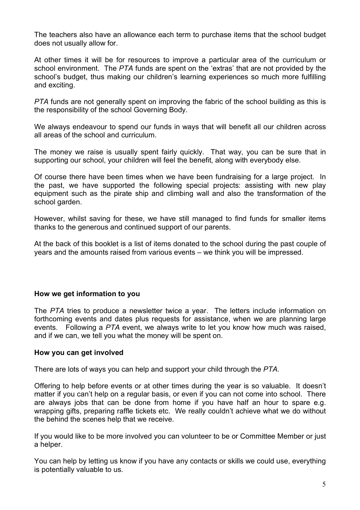The teachers also have an allowance each term to purchase items that the school budget does not usually allow for.

At other times it will be for resources to improve a particular area of the curriculum or school environment. The *PTA* funds are spent on the 'extras' that are not provided by the school's budget, thus making our children's learning experiences so much more fulfilling and exciting.

*PTA* funds are not generally spent on improving the fabric of the school building as this is the responsibility of the school Governing Body.

We always endeavour to spend our funds in ways that will benefit all our children across all areas of the school and curriculum.

The money we raise is usually spent fairly quickly. That way, you can be sure that in supporting our school, your children will feel the benefit, along with everybody else.

Of course there have been times when we have been fundraising for a large project. In the past, we have supported the following special projects: assisting with new play equipment such as the pirate ship and climbing wall and also the transformation of the school garden.

However, whilst saving for these, we have still managed to find funds for smaller items thanks to the generous and continued support of our parents.

At the back of this booklet is a list of items donated to the school during the past couple of years and the amounts raised from various events – we think you will be impressed.

### **How we get information to you**

The *PTA* tries to produce a newsletter twice a year. The letters include information on forthcoming events and dates plus requests for assistance, when we are planning large events. Following a *PTA* event, we always write to let you know how much was raised, and if we can, we tell you what the money will be spent on.

### **How you can get involved**

There are lots of ways you can help and support your child through the *PTA*.

Offering to help before events or at other times during the year is so valuable. It doesn't matter if you can't help on a regular basis, or even if you can not come into school. There are always jobs that can be done from home if you have half an hour to spare e.g. wrapping gifts, preparing raffle tickets etc. We really couldn't achieve what we do without the behind the scenes help that we receive.

If you would like to be more involved you can volunteer to be or Committee Member or just a helper.

You can help by letting us know if you have any contacts or skills we could use, everything is potentially valuable to us.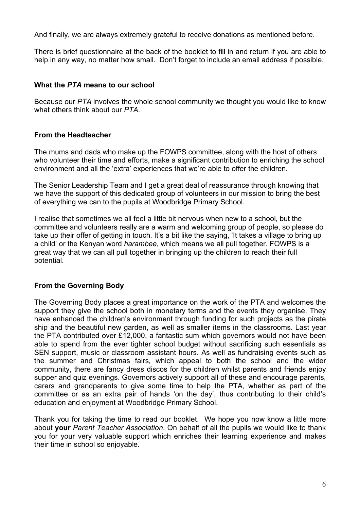And finally, we are always extremely grateful to receive donations as mentioned before.

There is brief questionnaire at the back of the booklet to fill in and return if you are able to help in any way, no matter how small. Don't forget to include an email address if possible.

# **What the** *PTA* **means to our school**

Because our *PTA* involves the whole school community we thought you would like to know what others think about our *PTA*.

# **From the Headteacher**

The mums and dads who make up the FOWPS committee, along with the host of others who volunteer their time and efforts, make a significant contribution to enriching the school environment and all the 'extra' experiences that we're able to offer the children.

The Senior Leadership Team and I get a great deal of reassurance through knowing that we have the support of this dedicated group of volunteers in our mission to bring the best of everything we can to the pupils at Woodbridge Primary School.

I realise that sometimes we all feel a little bit nervous when new to a school, but the committee and volunteers really are a warm and welcoming group of people, so please do take up their offer of getting in touch. It's a bit like the saying, 'It takes a village to bring up a child' or the Kenyan word *harambee*, which means we all pull together. FOWPS is a great way that we can all pull together in bringing up the children to reach their full potential.

# **From the Governing Body**

The Governing Body places a great importance on the work of the PTA and welcomes the support they give the school both in monetary terms and the events they organise. They have enhanced the children's environment through funding for such projects as the pirate ship and the beautiful new garden, as well as smaller items in the classrooms. Last year the PTA contributed over £12,000, a fantastic sum which governors would not have been able to spend from the ever tighter school budget without sacrificing such essentials as SEN support, music or classroom assistant hours. As well as fundraising events such as the summer and Christmas fairs, which appeal to both the school and the wider community, there are fancy dress discos for the children whilst parents and friends enjoy supper and quiz evenings. Governors actively support all of these and encourage parents, carers and grandparents to give some time to help the PTA, whether as part of the committee or as an extra pair of hands 'on the day', thus contributing to their child's education and enjoyment at Woodbridge Primary School.

Thank you for taking the time to read our booklet. We hope you now know a little more about **your** *Parent Teacher Association*. On behalf of all the pupils we would like to thank you for your very valuable support which enriches their learning experience and makes their time in school so enjoyable.